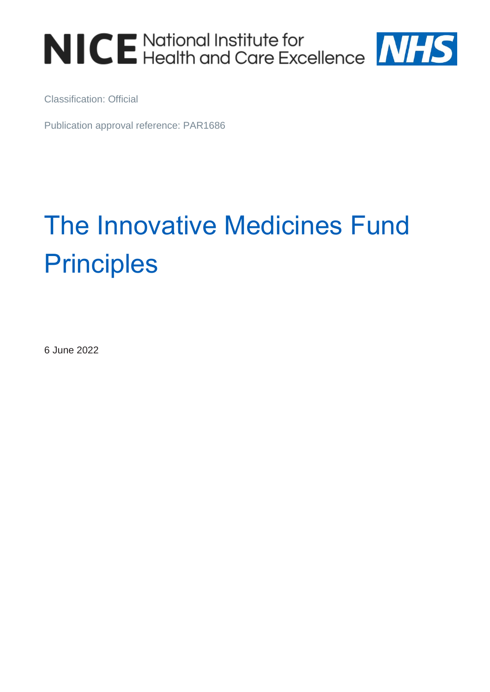# NICE National Institute for<br>NICE Health and Care Excellence NHS

Classification: Official

Publication approval reference: PAR1686

# The Innovative Medicines Fund **Principles**

6 June 2022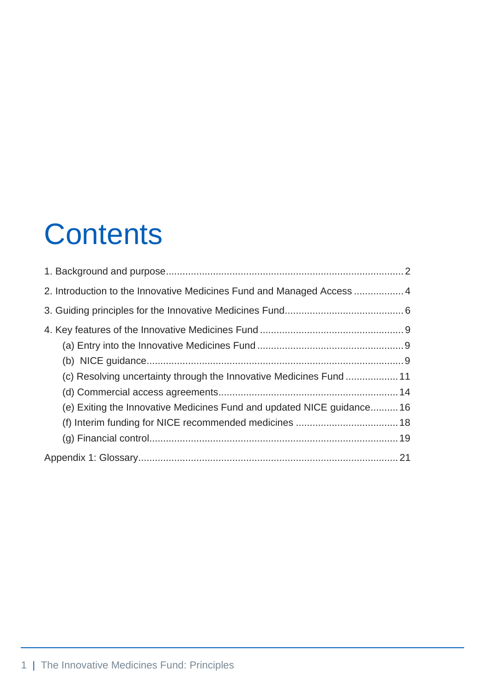# **Contents**

| 2. Introduction to the Innovative Medicines Fund and Managed Access  4 |  |
|------------------------------------------------------------------------|--|
|                                                                        |  |
|                                                                        |  |
|                                                                        |  |
|                                                                        |  |
|                                                                        |  |
|                                                                        |  |
| (e) Exiting the Innovative Medicines Fund and updated NICE guidance16  |  |
|                                                                        |  |
|                                                                        |  |
|                                                                        |  |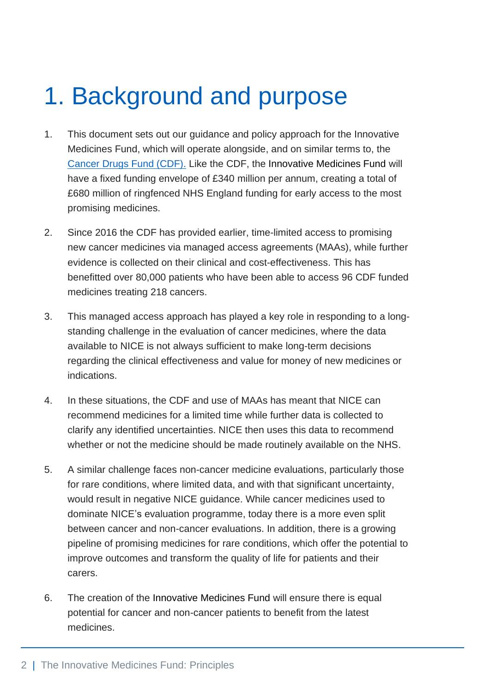## <span id="page-2-0"></span>1. Background and purpose

- 1. This document sets out our guidance and policy approach for the Innovative Medicines Fund, which will operate alongside, and on similar terms to, the [Cancer Drugs Fund \(CDF\).](https://www.england.nhs.uk/cancer/cdf/) Like the CDF, the Innovative Medicines Fund will have a fixed funding envelope of £340 million per annum, creating a total of £680 million of ringfenced NHS England funding for early access to the most promising medicines.
- 2. Since 2016 the CDF has provided earlier, time-limited access to promising new cancer medicines via managed access agreements (MAAs), while further evidence is collected on their clinical and cost-effectiveness. This has benefitted over 80,000 patients who have been able to access 96 CDF funded medicines treating 218 cancers.
- 3. This managed access approach has played a key role in responding to a longstanding challenge in the evaluation of cancer medicines, where the data available to NICE is not always sufficient to make long-term decisions regarding the clinical effectiveness and value for money of new medicines or indications.
- 4. In these situations, the CDF and use of MAAs has meant that NICE can recommend medicines for a limited time while further data is collected to clarify any identified uncertainties. NICE then uses this data to recommend whether or not the medicine should be made routinely available on the NHS.
- 5. A similar challenge faces non-cancer medicine evaluations, particularly those for rare conditions, where limited data, and with that significant uncertainty, would result in negative NICE guidance. While cancer medicines used to dominate NICE's evaluation programme, today there is a more even split between cancer and non-cancer evaluations. In addition, there is a growing pipeline of promising medicines for rare conditions, which offer the potential to improve outcomes and transform the quality of life for patients and their carers.
- 6. The creation of the Innovative Medicines Fund will ensure there is equal potential for cancer and non-cancer patients to benefit from the latest medicines.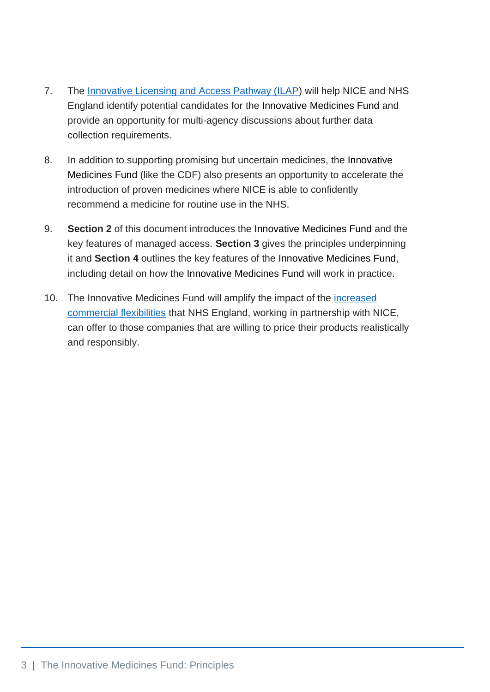- 7. The [Innovative Licensing and Access Pathway \(ILAP\)](https://www.gov.uk/guidance/innovative-licensing-and-access-pathway) will help NICE and NHS England identify potential candidates for the Innovative Medicines Fund and provide an opportunity for multi-agency discussions about further data collection requirements.
- 8. In addition to supporting promising but uncertain medicines, the Innovative Medicines Fund (like the CDF) also presents an opportunity to accelerate the introduction of proven medicines where NICE is able to confidently recommend a medicine for routine use in the NHS.
- 9. **Section 2** of this document introduces the Innovative Medicines Fund and the key features of managed access. **Section 3** gives the principles underpinning it and **Section 4** outlines the key features of the Innovative Medicines Fund, including detail on how the Innovative Medicines Fund will work in practice.
- 10. The Innovative Medicines Fund will amplify the impact of the [increased](https://www.england.nhs.uk/publication/nhs-commercial-framework-for-new-medicines/)  [commercial flexibilities](https://www.england.nhs.uk/publication/nhs-commercial-framework-for-new-medicines/) that NHS England, working in partnership with NICE, can offer to those companies that are willing to price their products realistically and responsibly.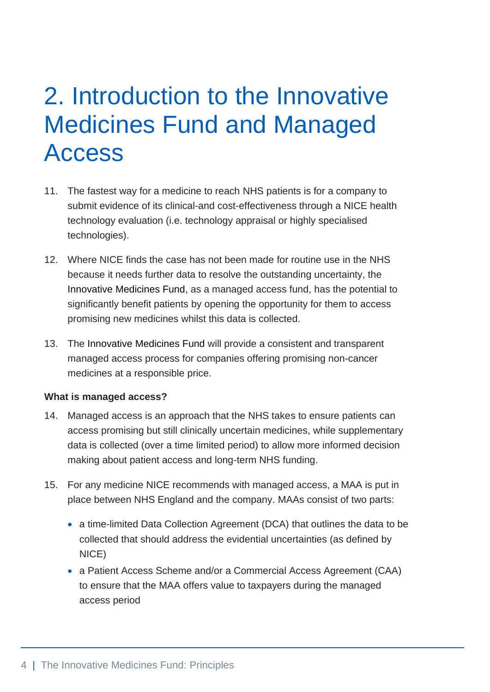### <span id="page-4-0"></span>2. Introduction to the Innovative Medicines Fund and Managed Access

- 11. The fastest way for a medicine to reach NHS patients is for a company to submit evidence of its clinical-and cost-effectiveness through a NICE health technology evaluation (i.e. technology appraisal or highly specialised technologies).
- 12. Where NICE finds the case has not been made for routine use in the NHS because it needs further data to resolve the outstanding uncertainty, the Innovative Medicines Fund, as a managed access fund, has the potential to significantly benefit patients by opening the opportunity for them to access promising new medicines whilst this data is collected.
- 13. The Innovative Medicines Fund will provide a consistent and transparent managed access process for companies offering promising non-cancer medicines at a responsible price.

#### **What is managed access?**

- 14. Managed access is an approach that the NHS takes to ensure patients can access promising but still clinically uncertain medicines, while supplementary data is collected (over a time limited period) to allow more informed decision making about patient access and long-term NHS funding.
- 15. For any medicine NICE recommends with managed access, a MAA is put in place between NHS England and the company. MAAs consist of two parts:
	- a time-limited Data Collection Agreement (DCA) that outlines the data to be collected that should address the evidential uncertainties (as defined by NICE)
	- a Patient Access Scheme and/or a Commercial Access Agreement (CAA) to ensure that the MAA offers value to taxpayers during the managed access period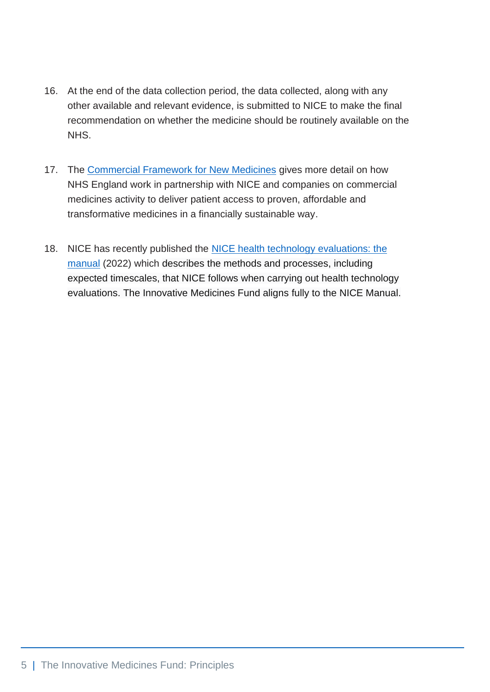- 16. At the end of the data collection period, the data collected, along with any other available and relevant evidence, is submitted to NICE to make the final recommendation on whether the medicine should be routinely available on the NHS.
- 17. The [Commercial Framework for New Medicines](https://www.england.nhs.uk/publication/nhs-commercial-framework-for-new-medicines/) gives more detail on how NHS England work in partnership with NICE and companies on commercial medicines activity to deliver patient access to proven, affordable and transformative medicines in a financially sustainable way.
- 18. NICE has recently published the [NICE health technology evaluations: the](https://www.nice.org.uk/process/pmg36/chapter/introduction-to-health-technology-evaluation)  [manual](https://www.nice.org.uk/process/pmg36/chapter/introduction-to-health-technology-evaluation) (2022) which describes the methods and processes, including expected timescales, that NICE follows when carrying out health technology evaluations. The Innovative Medicines Fund aligns fully to the NICE Manual.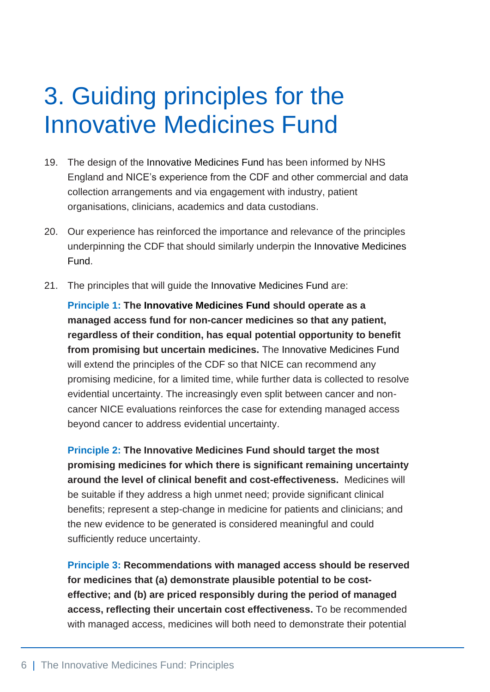### <span id="page-6-0"></span>3. Guiding principles for the Innovative Medicines Fund

- 19. The design of the Innovative Medicines Fund has been informed by NHS England and NICE's experience from the CDF and other commercial and data collection arrangements and via engagement with industry, patient organisations, clinicians, academics and data custodians.
- 20. Our experience has reinforced the importance and relevance of the principles underpinning the CDF that should similarly underpin the Innovative Medicines Fund.
- 21. The principles that will guide the Innovative Medicines Fund are:

**Principle 1: The Innovative Medicines Fund should operate as a managed access fund for non-cancer medicines so that any patient, regardless of their condition, has equal potential opportunity to benefit from promising but uncertain medicines.** The Innovative Medicines Fund will extend the principles of the CDF so that NICE can recommend any promising medicine, for a limited time, while further data is collected to resolve evidential uncertainty. The increasingly even split between cancer and noncancer NICE evaluations reinforces the case for extending managed access beyond cancer to address evidential uncertainty.

**Principle 2: The Innovative Medicines Fund should target the most promising medicines for which there is significant remaining uncertainty around the level of clinical benefit and cost-effectiveness.** Medicines will be suitable if they address a high unmet need; provide significant clinical benefits; represent a step-change in medicine for patients and clinicians; and the new evidence to be generated is considered meaningful and could sufficiently reduce uncertainty.

**Principle 3: Recommendations with managed access should be reserved for medicines that (a) demonstrate plausible potential to be costeffective; and (b) are priced responsibly during the period of managed access, reflecting their uncertain cost effectiveness.** To be recommended with managed access, medicines will both need to demonstrate their potential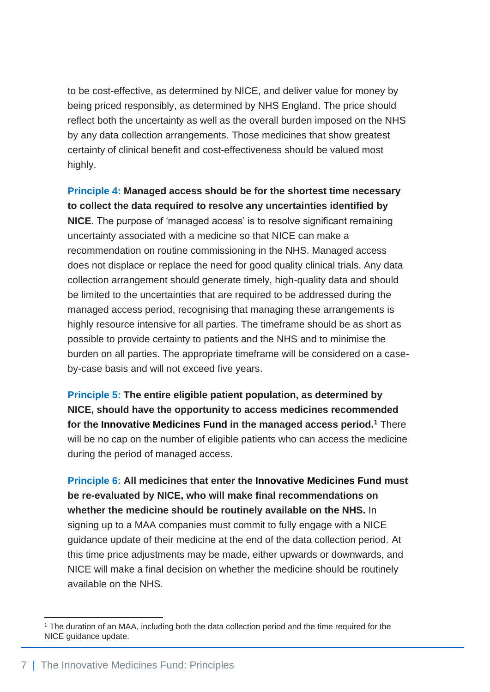to be cost-effective, as determined by NICE, and deliver value for money by being priced responsibly, as determined by NHS England. The price should reflect both the uncertainty as well as the overall burden imposed on the NHS by any data collection arrangements. Those medicines that show greatest certainty of clinical benefit and cost-effectiveness should be valued most highly.

**Principle 4: Managed access should be for the shortest time necessary to collect the data required to resolve any uncertainties identified by NICE.** The purpose of 'managed access' is to resolve significant remaining uncertainty associated with a medicine so that NICE can make a recommendation on routine commissioning in the NHS. Managed access does not displace or replace the need for good quality clinical trials. Any data collection arrangement should generate timely, high-quality data and should be limited to the uncertainties that are required to be addressed during the managed access period, recognising that managing these arrangements is highly resource intensive for all parties. The timeframe should be as short as possible to provide certainty to patients and the NHS and to minimise the burden on all parties. The appropriate timeframe will be considered on a caseby-case basis and will not exceed five years.

**Principle 5: The entire eligible patient population, as determined by NICE, should have the opportunity to access medicines recommended for the Innovative Medicines Fund in the managed access period. <sup>1</sup>** There will be no cap on the number of eligible patients who can access the medicine during the period of managed access.

**Principle 6: All medicines that enter the Innovative Medicines Fund must be re-evaluated by NICE, who will make final recommendations on whether the medicine should be routinely available on the NHS.** In signing up to a MAA companies must commit to fully engage with a NICE guidance update of their medicine at the end of the data collection period. At this time price adjustments may be made, either upwards or downwards, and NICE will make a final decision on whether the medicine should be routinely available on the NHS.

<sup>1</sup> The duration of an MAA, including both the data collection period and the time required for the NICE guidance update.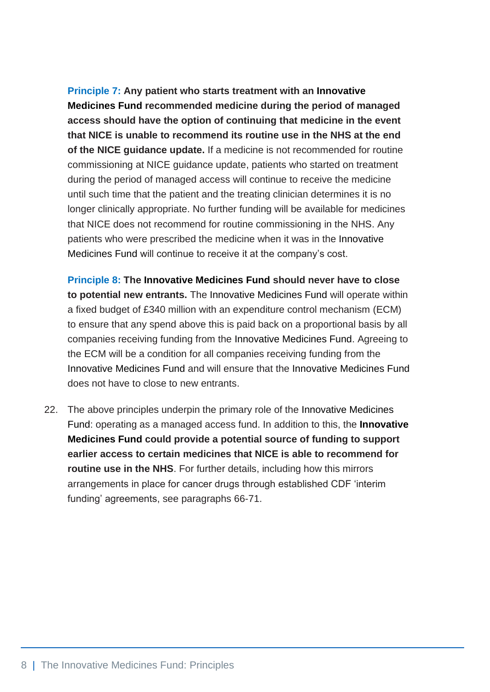**Principle 7: Any patient who starts treatment with an Innovative Medicines Fund recommended medicine during the period of managed access should have the option of continuing that medicine in the event that NICE is unable to recommend its routine use in the NHS at the end of the NICE guidance update.** If a medicine is not recommended for routine commissioning at NICE guidance update, patients who started on treatment during the period of managed access will continue to receive the medicine until such time that the patient and the treating clinician determines it is no longer clinically appropriate. No further funding will be available for medicines that NICE does not recommend for routine commissioning in the NHS. Any patients who were prescribed the medicine when it was in the Innovative Medicines Fund will continue to receive it at the company's cost.

**Principle 8: The Innovative Medicines Fund should never have to close to potential new entrants.** The Innovative Medicines Fund will operate within a fixed budget of £340 million with an expenditure control mechanism (ECM) to ensure that any spend above this is paid back on a proportional basis by all companies receiving funding from the Innovative Medicines Fund. Agreeing to the ECM will be a condition for all companies receiving funding from the Innovative Medicines Fund and will ensure that the Innovative Medicines Fund does not have to close to new entrants.

22. The above principles underpin the primary role of the Innovative Medicines Fund: operating as a managed access fund. In addition to this, the **Innovative Medicines Fund could provide a potential source of funding to support earlier access to certain medicines that NICE is able to recommend for routine use in the NHS**. For further details, including how this mirrors arrangements in place for cancer drugs through established CDF 'interim funding' agreements, see paragraphs 66-71.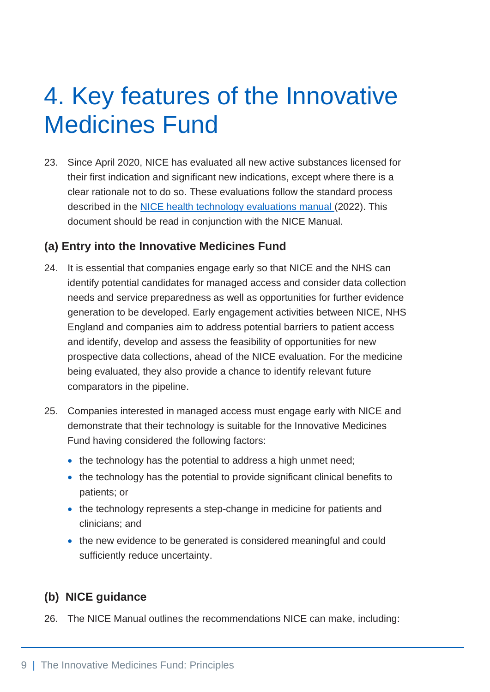### <span id="page-9-0"></span>4. Key features of the Innovative Medicines Fund

23. Since April 2020, NICE has evaluated all new active substances licensed for their first indication and significant new indications, except where there is a clear rationale not to do so. These evaluations follow the standard process described in the [NICE health technology evaluations manual \(](https://www.nice.org.uk/process/pmg36/chapter/introduction-to-health-technology-evaluation)2022). This document should be read in conjunction with the NICE Manual.

#### <span id="page-9-1"></span>**(a) Entry into the Innovative Medicines Fund**

- 24. It is essential that companies engage early so that NICE and the NHS can identify potential candidates for managed access and consider data collection needs and service preparedness as well as opportunities for further evidence generation to be developed. Early engagement activities between NICE, NHS England and companies aim to address potential barriers to patient access and identify, develop and assess the feasibility of opportunities for new prospective data collections, ahead of the NICE evaluation. For the medicine being evaluated, they also provide a chance to identify relevant future comparators in the pipeline.
- 25. Companies interested in managed access must engage early with NICE and demonstrate that their technology is suitable for the Innovative Medicines Fund having considered the following factors:
	- the technology has the potential to address a high unmet need;
	- the technology has the potential to provide significant clinical benefits to patients; or
	- the technology represents a step-change in medicine for patients and clinicians; and
	- the new evidence to be generated is considered meaningful and could sufficiently reduce uncertainty.

#### <span id="page-9-2"></span>**(b) NICE guidance**

26. The NICE Manual outlines the recommendations NICE can make, including: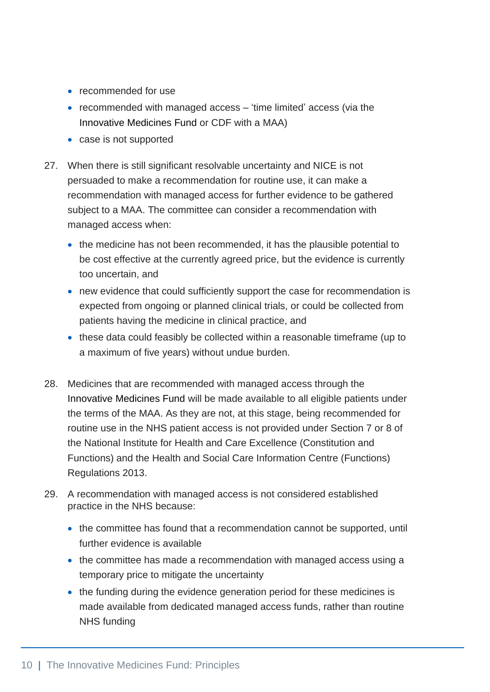- recommended for use
- recommended with managed access 'time limited' access (via the Innovative Medicines Fund or CDF with a MAA)
- case is not supported
- 27. When there is still significant resolvable uncertainty and NICE is not persuaded to make a recommendation for routine use, it can make a recommendation with managed access for further evidence to be gathered subject to a MAA. The committee can consider a recommendation with managed access when:
	- the medicine has not been recommended, it has the plausible potential to be cost effective at the currently agreed price, but the evidence is currently too uncertain, and
	- new evidence that could sufficiently support the case for recommendation is expected from ongoing or planned clinical trials, or could be collected from patients having the medicine in clinical practice, and
	- these data could feasibly be collected within a reasonable timeframe (up to a maximum of five years) without undue burden.
- 28. Medicines that are recommended with managed access through the Innovative Medicines Fund will be made available to all eligible patients under the terms of the MAA. As they are not, at this stage, being recommended for routine use in the NHS patient access is not provided under Section 7 or 8 of the National Institute for Health and Care Excellence (Constitution and Functions) and the Health and Social Care Information Centre (Functions) Regulations 2013.
- 29. A recommendation with managed access is not considered established practice in the NHS because:
	- the committee has found that a recommendation cannot be supported, until further evidence is available
	- the committee has made a recommendation with managed access using a temporary price to mitigate the uncertainty
	- the funding during the evidence generation period for these medicines is made available from dedicated managed access funds, rather than routine NHS funding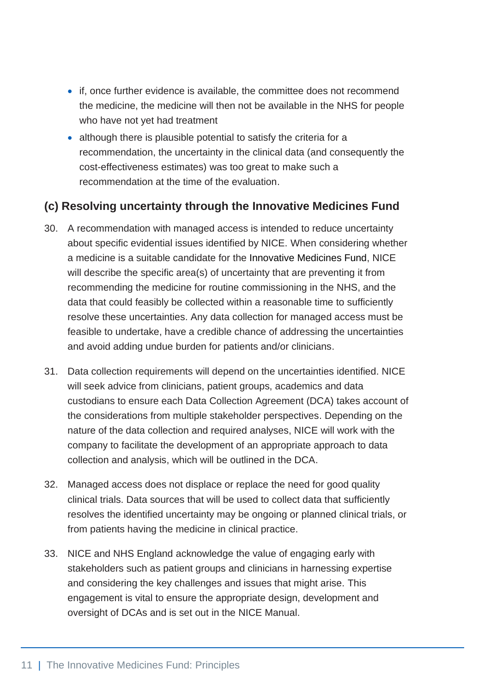- if, once further evidence is available, the committee does not recommend the medicine, the medicine will then not be available in the NHS for people who have not yet had treatment
- although there is plausible potential to satisfy the criteria for a recommendation, the uncertainty in the clinical data (and consequently the cost-effectiveness estimates) was too great to make such a recommendation at the time of the evaluation.

#### <span id="page-11-0"></span>**(c) Resolving uncertainty through the Innovative Medicines Fund**

- 30. A recommendation with managed access is intended to reduce uncertainty about specific evidential issues identified by NICE. When considering whether a medicine is a suitable candidate for the Innovative Medicines Fund, NICE will describe the specific area(s) of uncertainty that are preventing it from recommending the medicine for routine commissioning in the NHS, and the data that could feasibly be collected within a reasonable time to sufficiently resolve these uncertainties. Any data collection for managed access must be feasible to undertake, have a credible chance of addressing the uncertainties and avoid adding undue burden for patients and/or clinicians.
- 31. Data collection requirements will depend on the uncertainties identified. NICE will seek advice from clinicians, patient groups, academics and data custodians to ensure each Data Collection Agreement (DCA) takes account of the considerations from multiple stakeholder perspectives. Depending on the nature of the data collection and required analyses, NICE will work with the company to facilitate the development of an appropriate approach to data collection and analysis, which will be outlined in the DCA.
- 32. Managed access does not displace or replace the need for good quality clinical trials. Data sources that will be used to collect data that sufficiently resolves the identified uncertainty may be ongoing or planned clinical trials, or from patients having the medicine in clinical practice.
- 33. NICE and NHS England acknowledge the value of engaging early with stakeholders such as patient groups and clinicians in harnessing expertise and considering the key challenges and issues that might arise. This engagement is vital to ensure the appropriate design, development and oversight of DCAs and is set out in the NICE Manual.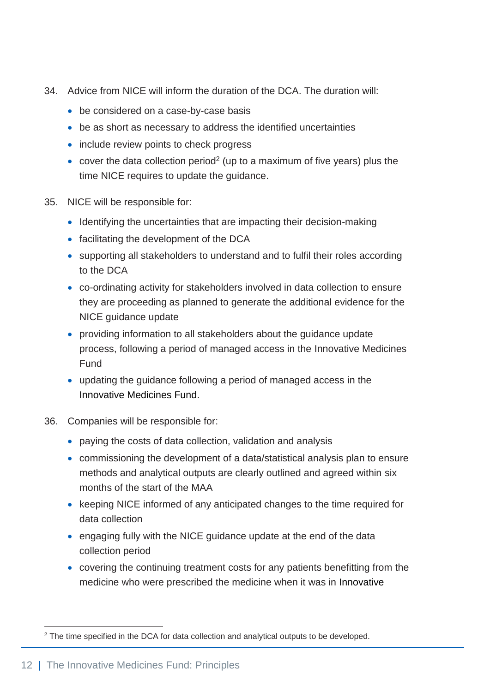- 34. Advice from NICE will inform the duration of the DCA. The duration will:
	- be considered on a case-by-case basis
	- be as short as necessary to address the identified uncertainties
	- include review points to check progress
	- cover the data collection period<sup>2</sup> (up to a maximum of five years) plus the time NICE requires to update the guidance.
- 35. NICE will be responsible for:
	- Identifying the uncertainties that are impacting their decision-making
	- facilitating the development of the DCA
	- supporting all stakeholders to understand and to fulfil their roles according to the DCA
	- co-ordinating activity for stakeholders involved in data collection to ensure they are proceeding as planned to generate the additional evidence for the NICE guidance update
	- providing information to all stakeholders about the guidance update process, following a period of managed access in the Innovative Medicines Fund
	- updating the guidance following a period of managed access in the Innovative Medicines Fund.
- 36. Companies will be responsible for:
	- paying the costs of data collection, validation and analysis
	- commissioning the development of a data/statistical analysis plan to ensure methods and analytical outputs are clearly outlined and agreed within six months of the start of the MAA
	- keeping NICE informed of any anticipated changes to the time required for data collection
	- engaging fully with the NICE guidance update at the end of the data collection period
	- covering the continuing treatment costs for any patients benefitting from the medicine who were prescribed the medicine when it was in Innovative

<sup>2</sup> The time specified in the DCA for data collection and analytical outputs to be developed.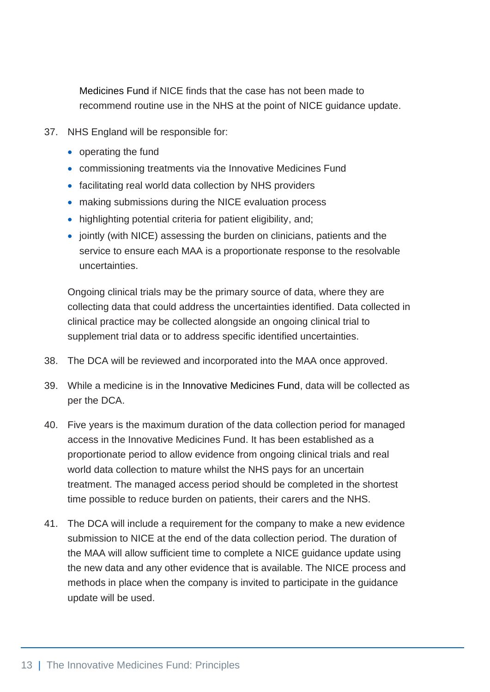Medicines Fund if NICE finds that the case has not been made to recommend routine use in the NHS at the point of NICE guidance update.

- 37. NHS England will be responsible for:
	- operating the fund
	- commissioning treatments via the Innovative Medicines Fund
	- facilitating real world data collection by NHS providers
	- making submissions during the NICE evaluation process
	- highlighting potential criteria for patient eligibility, and;
	- jointly (with NICE) assessing the burden on clinicians, patients and the service to ensure each MAA is a proportionate response to the resolvable uncertainties.

Ongoing clinical trials may be the primary source of data, where they are collecting data that could address the uncertainties identified. Data collected in clinical practice may be collected alongside an ongoing clinical trial to supplement trial data or to address specific identified uncertainties.

- 38. The DCA will be reviewed and incorporated into the MAA once approved.
- 39. While a medicine is in the Innovative Medicines Fund, data will be collected as per the DCA.
- 40. Five years is the maximum duration of the data collection period for managed access in the Innovative Medicines Fund. It has been established as a proportionate period to allow evidence from ongoing clinical trials and real world data collection to mature whilst the NHS pays for an uncertain treatment. The managed access period should be completed in the shortest time possible to reduce burden on patients, their carers and the NHS.
- 41. The DCA will include a requirement for the company to make a new evidence submission to NICE at the end of the data collection period. The duration of the MAA will allow sufficient time to complete a NICE guidance update using the new data and any other evidence that is available. The NICE process and methods in place when the company is invited to participate in the guidance update will be used.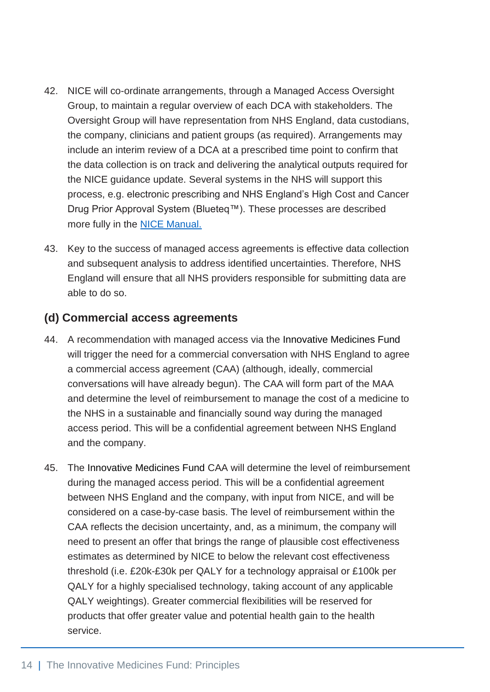- 42. NICE will co-ordinate arrangements, through a Managed Access Oversight Group, to maintain a regular overview of each DCA with stakeholders. The Oversight Group will have representation from NHS England, data custodians, the company, clinicians and patient groups (as required). Arrangements may include an interim review of a DCA at a prescribed time point to confirm that the data collection is on track and delivering the analytical outputs required for the NICE guidance update. Several systems in the NHS will support this process, e.g. electronic prescribing and NHS England's High Cost and Cancer Drug Prior Approval System (Blueteq™). These processes are described more fully in the [NICE Manual.](https://www.nice.org.uk/process/pmg36/chapter/introduction-to-health-technology-evaluation)
- 43. Key to the success of managed access agreements is effective data collection and subsequent analysis to address identified uncertainties. Therefore, NHS England will ensure that all NHS providers responsible for submitting data are able to do so.

#### <span id="page-14-0"></span>**(d) Commercial access agreements**

- 44. A recommendation with managed access via the Innovative Medicines Fund will trigger the need for a commercial conversation with NHS England to agree a commercial access agreement (CAA) (although, ideally, commercial conversations will have already begun). The CAA will form part of the MAA and determine the level of reimbursement to manage the cost of a medicine to the NHS in a sustainable and financially sound way during the managed access period. This will be a confidential agreement between NHS England and the company.
- 45. The Innovative Medicines Fund CAA will determine the level of reimbursement during the managed access period. This will be a confidential agreement between NHS England and the company, with input from NICE, and will be considered on a case-by-case basis. The level of reimbursement within the CAA reflects the decision uncertainty, and, as a minimum, the company will need to present an offer that brings the range of plausible cost effectiveness estimates as determined by NICE to below the relevant cost effectiveness threshold (i.e. £20k-£30k per QALY for a technology appraisal or £100k per QALY for a highly specialised technology, taking account of any applicable QALY weightings). Greater commercial flexibilities will be reserved for products that offer greater value and potential health gain to the health service.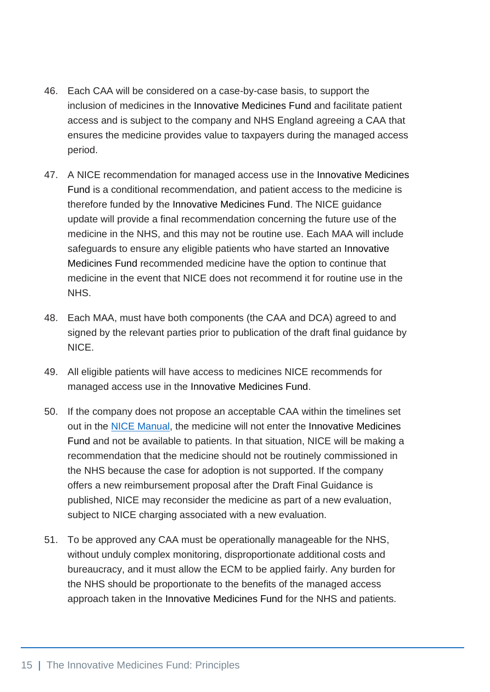- 46. Each CAA will be considered on a case-by-case basis, to support the inclusion of medicines in the Innovative Medicines Fund and facilitate patient access and is subject to the company and NHS England agreeing a CAA that ensures the medicine provides value to taxpayers during the managed access period.
- 47. A NICE recommendation for managed access use in the Innovative Medicines Fund is a conditional recommendation, and patient access to the medicine is therefore funded by the Innovative Medicines Fund. The NICE guidance update will provide a final recommendation concerning the future use of the medicine in the NHS, and this may not be routine use. Each MAA will include safeguards to ensure any eligible patients who have started an Innovative Medicines Fund recommended medicine have the option to continue that medicine in the event that NICE does not recommend it for routine use in the NHS.
- 48. Each MAA, must have both components (the CAA and DCA) agreed to and signed by the relevant parties prior to publication of the draft final guidance by NICE.
- 49. All eligible patients will have access to medicines NICE recommends for managed access use in the Innovative Medicines Fund.
- 50. If the company does not propose an acceptable CAA within the timelines set out in the [NICE Manual,](https://www.nice.org.uk/process/pmg36/chapter/introduction-to-health-technology-evaluation) the medicine will not enter the Innovative Medicines Fund and not be available to patients. In that situation, NICE will be making a recommendation that the medicine should not be routinely commissioned in the NHS because the case for adoption is not supported. If the company offers a new reimbursement proposal after the Draft Final Guidance is published, NICE may reconsider the medicine as part of a new evaluation, subject to NICE charging associated with a new evaluation.
- 51. To be approved any CAA must be operationally manageable for the NHS, without unduly complex monitoring, disproportionate additional costs and bureaucracy, and it must allow the ECM to be applied fairly. Any burden for the NHS should be proportionate to the benefits of the managed access approach taken in the Innovative Medicines Fund for the NHS and patients.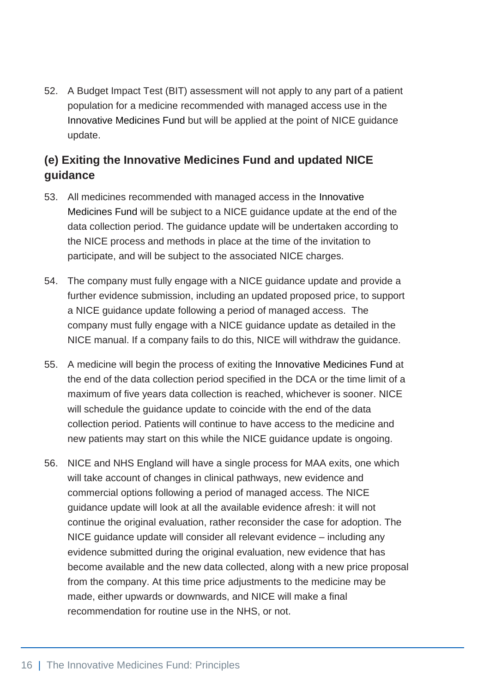52. A Budget Impact Test (BIT) assessment will not apply to any part of a patient population for a medicine recommended with managed access use in the Innovative Medicines Fund but will be applied at the point of NICE guidance update.

#### <span id="page-16-0"></span>**(e) Exiting the Innovative Medicines Fund and updated NICE guidance**

- 53. All medicines recommended with managed access in the Innovative Medicines Fund will be subject to a NICE guidance update at the end of the data collection period. The guidance update will be undertaken according to the NICE process and methods in place at the time of the invitation to participate, and will be subject to the associated NICE charges.
- 54. The company must fully engage with a NICE guidance update and provide a further evidence submission, including an updated proposed price, to support a NICE guidance update following a period of managed access. The company must fully engage with a NICE guidance update as detailed in the NICE manual. If a company fails to do this, NICE will withdraw the guidance.
- 55. A medicine will begin the process of exiting the Innovative Medicines Fund at the end of the data collection period specified in the DCA or the time limit of a maximum of five years data collection is reached, whichever is sooner. NICE will schedule the guidance update to coincide with the end of the data collection period. Patients will continue to have access to the medicine and new patients may start on this while the NICE guidance update is ongoing.
- 56. NICE and NHS England will have a single process for MAA exits, one which will take account of changes in clinical pathways, new evidence and commercial options following a period of managed access. The NICE guidance update will look at all the available evidence afresh: it will not continue the original evaluation, rather reconsider the case for adoption. The NICE guidance update will consider all relevant evidence – including any evidence submitted during the original evaluation, new evidence that has become available and the new data collected, along with a new price proposal from the company. At this time price adjustments to the medicine may be made, either upwards or downwards, and NICE will make a final recommendation for routine use in the NHS, or not.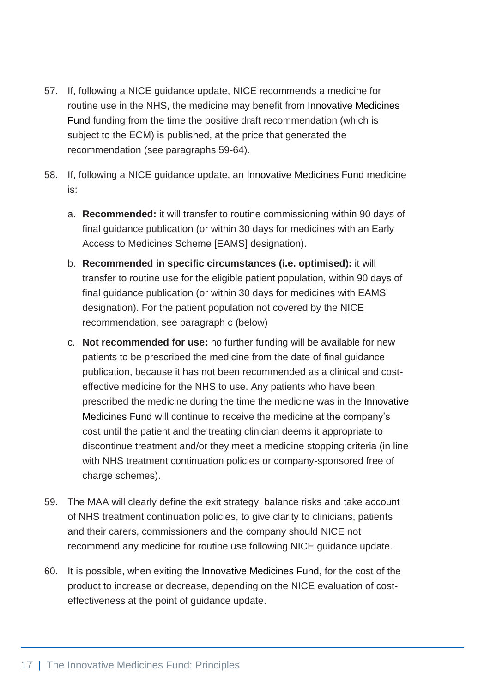- 57. If, following a NICE guidance update, NICE recommends a medicine for routine use in the NHS, the medicine may benefit from Innovative Medicines Fund funding from the time the positive draft recommendation (which is subject to the ECM) is published, at the price that generated the recommendation (see paragraphs 59-64).
- 58. If, following a NICE guidance update, an Innovative Medicines Fund medicine is:
	- a. **Recommended:** it will transfer to routine commissioning within 90 days of final guidance publication (or within 30 days for medicines with an Early Access to Medicines Scheme [EAMS] designation).
	- b. **Recommended in specific circumstances (i.e. optimised):** it will transfer to routine use for the eligible patient population, within 90 days of final guidance publication (or within 30 days for medicines with EAMS designation). For the patient population not covered by the NICE recommendation, see paragraph c (below)
	- c. **Not recommended for use:** no further funding will be available for new patients to be prescribed the medicine from the date of final guidance publication, because it has not been recommended as a clinical and costeffective medicine for the NHS to use. Any patients who have been prescribed the medicine during the time the medicine was in the Innovative Medicines Fund will continue to receive the medicine at the company's cost until the patient and the treating clinician deems it appropriate to discontinue treatment and/or they meet a medicine stopping criteria (in line with NHS treatment continuation policies or company-sponsored free of charge schemes).
- 59. The MAA will clearly define the exit strategy, balance risks and take account of NHS treatment continuation policies, to give clarity to clinicians, patients and their carers, commissioners and the company should NICE not recommend any medicine for routine use following NICE guidance update.
- 60. It is possible, when exiting the Innovative Medicines Fund, for the cost of the product to increase or decrease, depending on the NICE evaluation of costeffectiveness at the point of guidance update.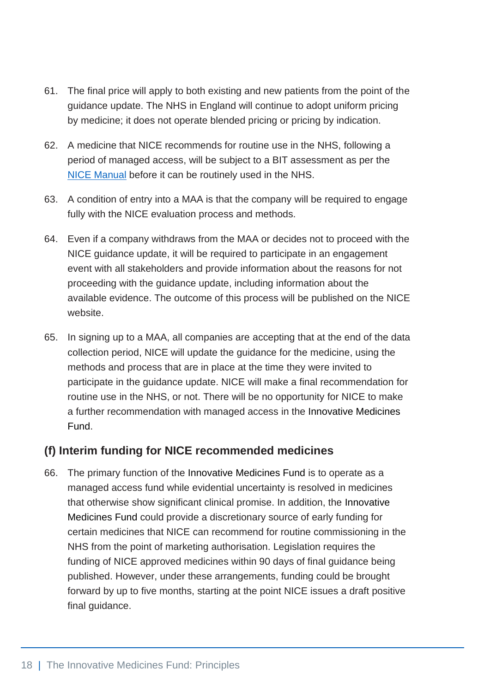- 61. The final price will apply to both existing and new patients from the point of the guidance update. The NHS in England will continue to adopt uniform pricing by medicine; it does not operate blended pricing or pricing by indication.
- 62. A medicine that NICE recommends for routine use in the NHS, following a period of managed access, will be subject to a BIT assessment as per the [NICE Manual](https://www.nice.org.uk/process/pmg36/chapter/introduction-to-health-technology-evaluation) before it can be routinely used in the NHS.
- 63. A condition of entry into a MAA is that the company will be required to engage fully with the NICE evaluation process and methods.
- 64. Even if a company withdraws from the MAA or decides not to proceed with the NICE guidance update, it will be required to participate in an engagement event with all stakeholders and provide information about the reasons for not proceeding with the guidance update, including information about the available evidence. The outcome of this process will be published on the NICE website.
- 65. In signing up to a MAA, all companies are accepting that at the end of the data collection period, NICE will update the guidance for the medicine, using the methods and process that are in place at the time they were invited to participate in the guidance update. NICE will make a final recommendation for routine use in the NHS, or not. There will be no opportunity for NICE to make a further recommendation with managed access in the Innovative Medicines Fund.

#### <span id="page-18-0"></span>**(f) Interim funding for NICE recommended medicines**

66. The primary function of the Innovative Medicines Fund is to operate as a managed access fund while evidential uncertainty is resolved in medicines that otherwise show significant clinical promise. In addition, the Innovative Medicines Fund could provide a discretionary source of early funding for certain medicines that NICE can recommend for routine commissioning in the NHS from the point of marketing authorisation. Legislation requires the funding of NICE approved medicines within 90 days of final guidance being published. However, under these arrangements, funding could be brought forward by up to five months, starting at the point NICE issues a draft positive final guidance.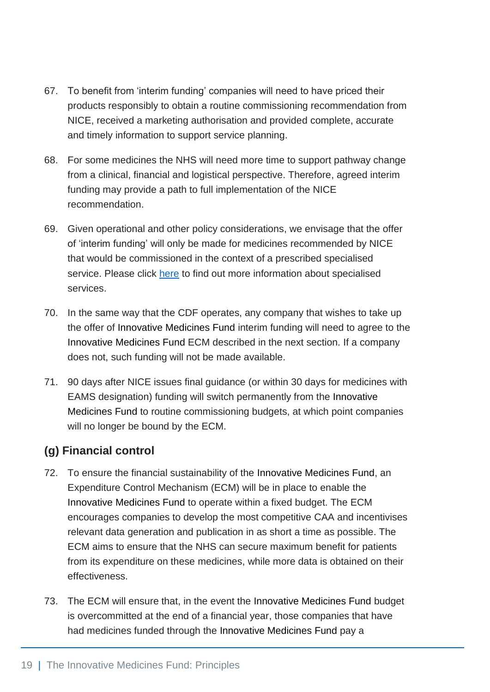- 67. To benefit from 'interim funding' companies will need to have priced their products responsibly to obtain a routine commissioning recommendation from NICE, received a marketing authorisation and provided complete, accurate and timely information to support service planning.
- 68. For some medicines the NHS will need more time to support pathway change from a clinical, financial and logistical perspective. Therefore, agreed interim funding may provide a path to full implementation of the NICE recommendation.
- 69. Given operational and other policy considerations, we envisage that the offer of 'interim funding' will only be made for medicines recommended by NICE that would be commissioned in the context of a prescribed specialised service. Please click [here](https://www.england.nhs.uk/commissioning/spec-services/) to find out more information about specialised services.
- 70. In the same way that the CDF operates, any company that wishes to take up the offer of Innovative Medicines Fund interim funding will need to agree to the Innovative Medicines Fund ECM described in the next section. If a company does not, such funding will not be made available.
- 71. 90 days after NICE issues final guidance (or within 30 days for medicines with EAMS designation) funding will switch permanently from the Innovative Medicines Fund to routine commissioning budgets, at which point companies will no longer be bound by the ECM.

#### <span id="page-19-0"></span>**(g) Financial control**

- 72. To ensure the financial sustainability of the Innovative Medicines Fund, an Expenditure Control Mechanism (ECM) will be in place to enable the Innovative Medicines Fund to operate within a fixed budget. The ECM encourages companies to develop the most competitive CAA and incentivises relevant data generation and publication in as short a time as possible. The ECM aims to ensure that the NHS can secure maximum benefit for patients from its expenditure on these medicines, while more data is obtained on their effectiveness.
- 73. The ECM will ensure that, in the event the Innovative Medicines Fund budget is overcommitted at the end of a financial year, those companies that have had medicines funded through the Innovative Medicines Fund pay a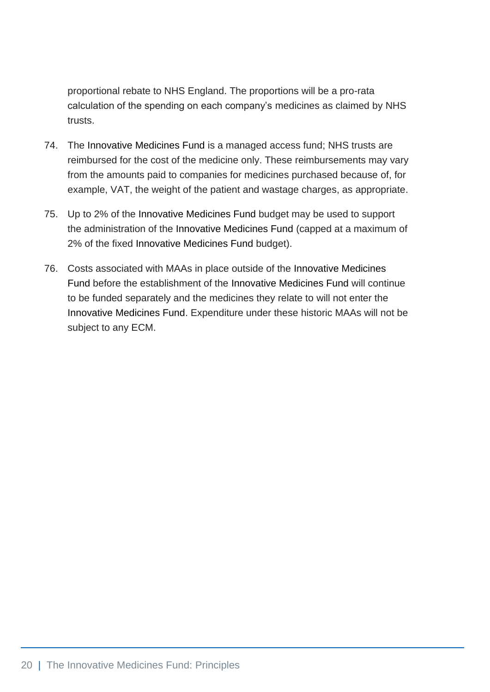proportional rebate to NHS England. The proportions will be a pro-rata calculation of the spending on each company's medicines as claimed by NHS trusts.

- 74. The Innovative Medicines Fund is a managed access fund; NHS trusts are reimbursed for the cost of the medicine only. These reimbursements may vary from the amounts paid to companies for medicines purchased because of, for example, VAT, the weight of the patient and wastage charges, as appropriate.
- 75. Up to 2% of the Innovative Medicines Fund budget may be used to support the administration of the Innovative Medicines Fund (capped at a maximum of 2% of the fixed Innovative Medicines Fund budget).
- 76. Costs associated with MAAs in place outside of the Innovative Medicines Fund before the establishment of the Innovative Medicines Fund will continue to be funded separately and the medicines they relate to will not enter the Innovative Medicines Fund. Expenditure under these historic MAAs will not be subject to any ECM.